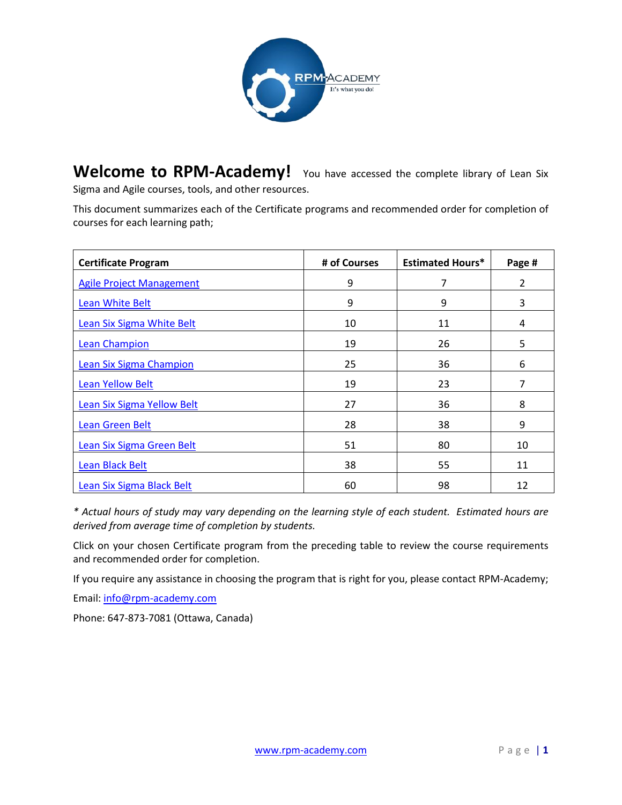

<span id="page-0-0"></span>Welcome to RPM-Academy! You have accessed the complete library of Lean Six Sigma and Agile courses, tools, and other resources.

This document summarizes each of the Certificate programs and recommended order for completion of courses for each learning path;

| <b>Certificate Program</b>        | # of Courses | <b>Estimated Hours*</b> | Page # |
|-----------------------------------|--------------|-------------------------|--------|
| <b>Agile Project Management</b>   | 9            | 7                       | 2      |
| Lean White Belt                   | 9            | 9                       | 3      |
| Lean Six Sigma White Belt         | 10           | 11                      | 4      |
| <b>Lean Champion</b>              | 19           | 26                      | 5      |
| <b>Lean Six Sigma Champion</b>    | 25           | 36                      | 6      |
| <b>Lean Yellow Belt</b>           | 19           | 23                      | 7      |
| <b>Lean Six Sigma Yellow Belt</b> | 27           | 36                      | 8      |
| Lean Green Belt                   | 28           | 38                      | 9      |
| Lean Six Sigma Green Belt         | 51           | 80                      | 10     |
| <b>Lean Black Belt</b>            | 38           | 55                      | 11     |
| Lean Six Sigma Black Belt         | 60           | 98                      | 12     |

*\* Actual hours of study may vary depending on the learning style of each student. Estimated hours are derived from average time of completion by students.*

Click on your chosen Certificate program from the preceding table to review the course requirements and recommended order for completion.

If you require any assistance in choosing the program that is right for you, please contact RPM-Academy;

Email: [info@rpm-academy.com](mailto:info@rpm-academy.com)

Phone: 647-873-7081 (Ottawa, Canada)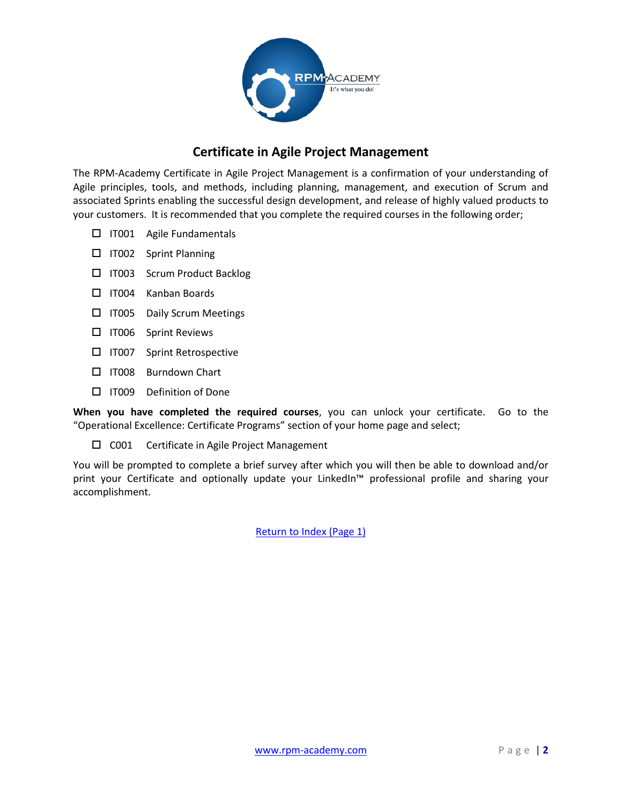

# **Certificate in Agile Project Management**

<span id="page-1-0"></span>The RPM-Academy Certificate in Agile Project Management is a confirmation of your understanding of Agile principles, tools, and methods, including planning, management, and execution of Scrum and associated Sprints enabling the successful design development, and release of highly valued products to your customers. It is recommended that you complete the required courses in the following order;

- □ IT001 Agile Fundamentals
- **ITO02** Sprint Planning
- □ IT003 Scrum Product Backlog
- I IT004 Kanban Boards
- **ITO05** Daily Scrum Meetings
- IT006 Sprint Reviews
- □ IT007 Sprint Retrospective
- □ IT008 Burndown Chart
- □ IT009 Definition of Done

**When you have completed the required courses**, you can unlock your certificate. Go to the "Operational Excellence: Certificate Programs" section of your home page and select;

 $\square$  C001 Certificate in Agile Project Management

You will be prompted to complete a brief survey after which you will then be able to download and/or print your Certificate and optionally update your LinkedIn™ professional profile and sharing your accomplishment.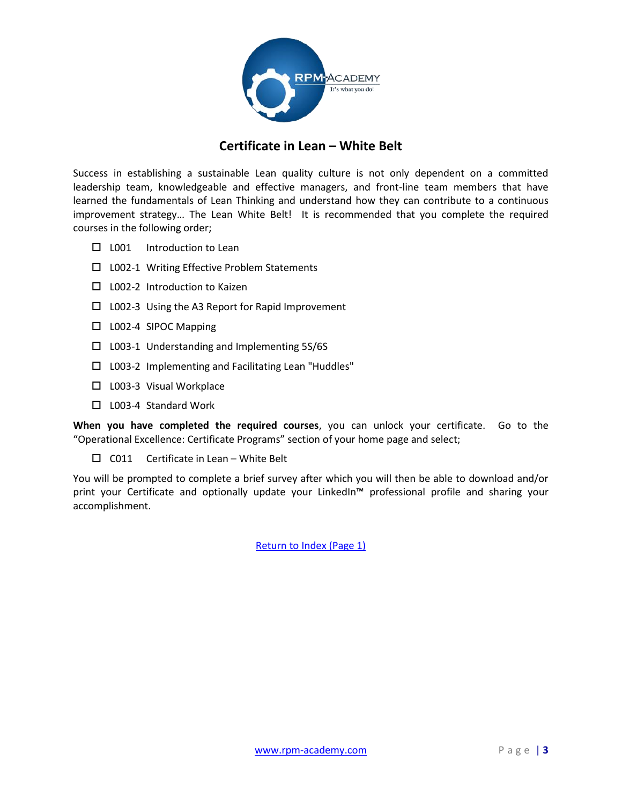

### **Certificate in Lean – White Belt**

<span id="page-2-0"></span>Success in establishing a sustainable Lean quality culture is not only dependent on a committed leadership team, knowledgeable and effective managers, and front-line team members that have learned the fundamentals of Lean Thinking and understand how they can contribute to a continuous improvement strategy… The Lean White Belt! It is recommended that you complete the required courses in the following order;

- $\Box$  L001 Introduction to Lean
- $\square$  L002-1 Writing Effective Problem Statements
- $\Box$  L002-2 Introduction to Kaizen
- $\Box$  L002-3 Using the A3 Report for Rapid Improvement
- $\Box$  L002-4 SIPOC Mapping
- $\square$  L003-1 Understanding and Implementing 5S/6S
- □ L003-2 Implementing and Facilitating Lean "Huddles"
- □ L003-3 Visual Workplace
- $\Box$  L003-4 Standard Work

**When you have completed the required courses**, you can unlock your certificate. Go to the "Operational Excellence: Certificate Programs" section of your home page and select;

 $\Box$  C011 Certificate in Lean – White Belt

You will be prompted to complete a brief survey after which you will then be able to download and/or print your Certificate and optionally update your LinkedIn™ professional profile and sharing your accomplishment.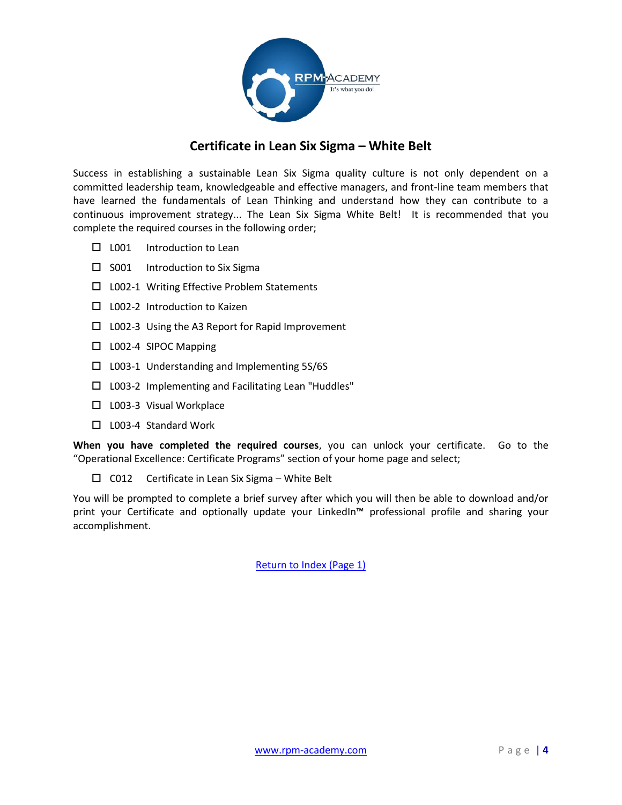

### **Certificate in Lean Six Sigma – White Belt**

<span id="page-3-0"></span>Success in establishing a sustainable Lean Six Sigma quality culture is not only dependent on a committed leadership team, knowledgeable and effective managers, and front-line team members that have learned the fundamentals of Lean Thinking and understand how they can contribute to a continuous improvement strategy... The Lean Six Sigma White Belt! It is recommended that you complete the required courses in the following order;

- $\Box$  L001 Introduction to Lean
- $\square$  S001 Introduction to Six Sigma
- $\square$  L002-1 Writing Effective Problem Statements
- $\Box$  L002-2 Introduction to Kaizen
- $\Box$  L002-3 Using the A3 Report for Rapid Improvement
- □ L002-4 SIPOC Mapping
- $\square$  L003-1 Understanding and Implementing 5S/6S
- □ L003-2 Implementing and Facilitating Lean "Huddles"
- □ L003-3 Visual Workplace
- □ L003-4 Standard Work

**When you have completed the required courses**, you can unlock your certificate. Go to the "Operational Excellence: Certificate Programs" section of your home page and select;

 $\square$  C012 Certificate in Lean Six Sigma – White Belt

You will be prompted to complete a brief survey after which you will then be able to download and/or print your Certificate and optionally update your LinkedIn™ professional profile and sharing your accomplishment.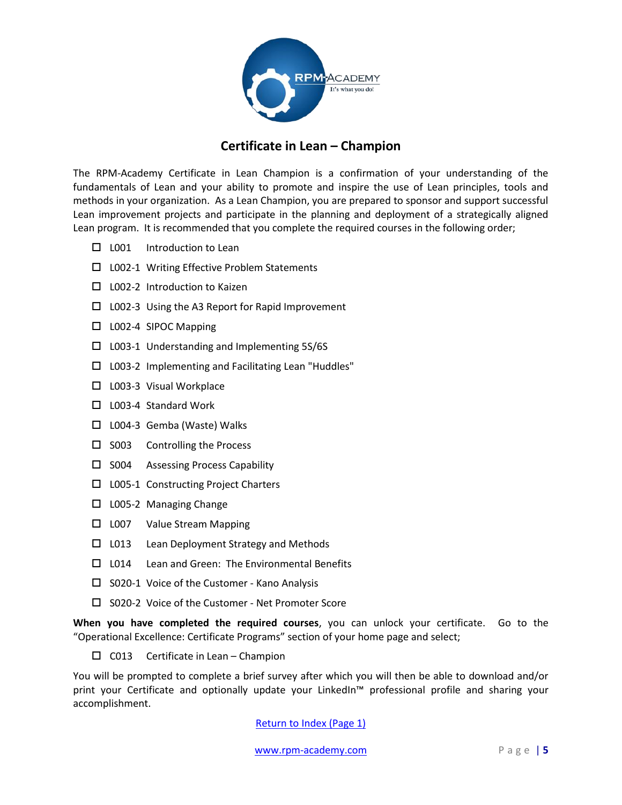

### **Certificate in Lean – Champion**

<span id="page-4-0"></span>The RPM-Academy Certificate in Lean Champion is a confirmation of your understanding of the fundamentals of Lean and your ability to promote and inspire the use of Lean principles, tools and methods in your organization. As a Lean Champion, you are prepared to sponsor and support successful Lean improvement projects and participate in the planning and deployment of a strategically aligned Lean program. It is recommended that you complete the required courses in the following order;

- $\Box$  L001 Introduction to Lean
- $\square$  L002-1 Writing Effective Problem Statements
- $\Box$  L002-2 Introduction to Kaizen
- $\square$  L002-3 Using the A3 Report for Rapid Improvement
- $\Box$  L002-4 SIPOC Mapping
- $\square$  L003-1 Understanding and Implementing 5S/6S
- □ L003-2 Implementing and Facilitating Lean "Huddles"
- □ L003-3 Visual Workplace
- $\Box$  L003-4 Standard Work
- □ L004-3 Gemba (Waste) Walks
- $\square$  S003 Controlling the Process
- $\square$  S004 Assessing Process Capability
- □ L005-1 Constructing Project Charters
- $\Box$  L005-2 Managing Change
- □ L007 Value Stream Mapping
- $\Box$  L013 Lean Deployment Strategy and Methods
- $\Box$  L014 Lean and Green: The Environmental Benefits
- $\square$  S020-1 Voice of the Customer Kano Analysis
- □ S020-2 Voice of the Customer Net Promoter Score

**When you have completed the required courses**, you can unlock your certificate. Go to the "Operational Excellence: Certificate Programs" section of your home page and select;

 $\Box$  C013 Certificate in Lean – Champion

You will be prompted to complete a brief survey after which you will then be able to download and/or print your Certificate and optionally update your LinkedIn™ professional profile and sharing your accomplishment.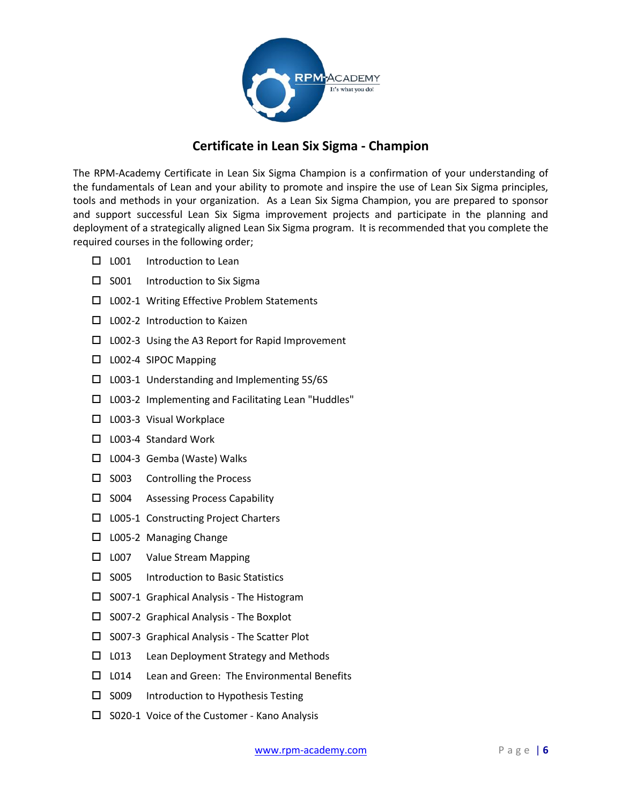

# **Certificate in Lean Six Sigma - Champion**

<span id="page-5-0"></span>The RPM-Academy Certificate in Lean Six Sigma Champion is a confirmation of your understanding of the fundamentals of Lean and your ability to promote and inspire the use of Lean Six Sigma principles, tools and methods in your organization. As a Lean Six Sigma Champion, you are prepared to sponsor and support successful Lean Six Sigma improvement projects and participate in the planning and deployment of a strategically aligned Lean Six Sigma program. It is recommended that you complete the required courses in the following order;

- $\Box$  L001 Introduction to Lean
- $\square$  S001 Introduction to Six Sigma
- □ L002-1 Writing Effective Problem Statements
- $\Box$  L002-2 Introduction to Kaizen
- $\Box$  L002-3 Using the A3 Report for Rapid Improvement
- □ L002-4 SIPOC Mapping
- L003-1 Understanding and Implementing 5S/6S
- □ L003-2 Implementing and Facilitating Lean "Huddles"
- □ L003-3 Visual Workplace
- □ L003-4 Standard Work
- □ L004-3 Gemba (Waste) Walks
- $\square$  S003 Controlling the Process
- $\square$  S004 Assessing Process Capability
- □ L005-1 Constructing Project Charters
- $\square$  L005-2 Managing Change
- □ L007 Value Stream Mapping
- $\square$  S005 Introduction to Basic Statistics
- $\square$  S007-1 Graphical Analysis The Histogram
- $\square$  S007-2 Graphical Analysis The Boxplot
- $\square$  S007-3 Graphical Analysis The Scatter Plot
- $\Box$  L013 Lean Deployment Strategy and Methods
- □ L014 Lean and Green: The Environmental Benefits
- $\square$  S009 Introduction to Hypothesis Testing
- □ S020-1 Voice of the Customer Kano Analysis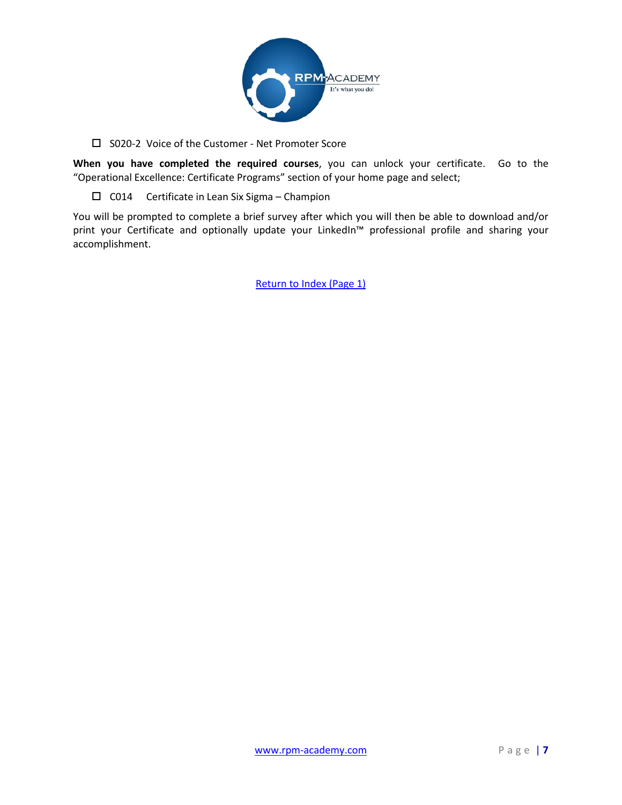

□ S020-2 Voice of the Customer - Net Promoter Score

**When you have completed the required courses**, you can unlock your certificate. Go to the "Operational Excellence: Certificate Programs" section of your home page and select;

 $\Box$  C014 Certificate in Lean Six Sigma – Champion

You will be prompted to complete a brief survey after which you will then be able to download and/or print your Certificate and optionally update your LinkedIn™ professional profile and sharing your accomplishment.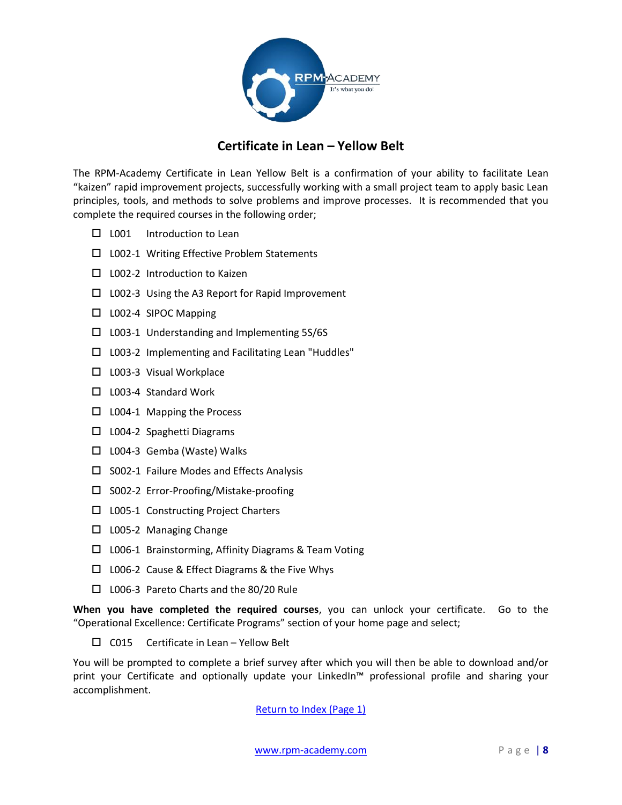

# **Certificate in Lean – Yellow Belt**

<span id="page-7-0"></span>The RPM-Academy Certificate in Lean Yellow Belt is a confirmation of your ability to facilitate Lean "kaizen" rapid improvement projects, successfully working with a small project team to apply basic Lean principles, tools, and methods to solve problems and improve processes. It is recommended that you complete the required courses in the following order;

- □ L001 Introduction to Lean
- □ L002-1 Writing Effective Problem Statements
- □ L002-2 Introduction to Kaizen
- □ L002-3 Using the A3 Report for Rapid Improvement
- □ L002-4 SIPOC Mapping
- $\square$  L003-1 Understanding and Implementing 5S/6S
- □ L003-2 Implementing and Facilitating Lean "Huddles"
- □ L003-3 Visual Workplace
- □ L003-4 Standard Work
- □ L004-1 Mapping the Process
- $\Box$  L004-2 Spaghetti Diagrams
- □ L004-3 Gemba (Waste) Walks
- $\square$  S002-1 Failure Modes and Effects Analysis
- □ S002-2 Error-Proofing/Mistake-proofing
- □ L005-1 Constructing Project Charters
- $\square$  L005-2 Managing Change
- $\Box$  L006-1 Brainstorming, Affinity Diagrams & Team Voting
- □ L006-2 Cause & Effect Diagrams & the Five Whys
- L006-3 Pareto Charts and the 80/20 Rule

**When you have completed the required courses**, you can unlock your certificate. Go to the "Operational Excellence: Certificate Programs" section of your home page and select;

 $\square$  C015 Certificate in Lean – Yellow Belt

You will be prompted to complete a brief survey after which you will then be able to download and/or print your Certificate and optionally update your LinkedIn™ professional profile and sharing your accomplishment.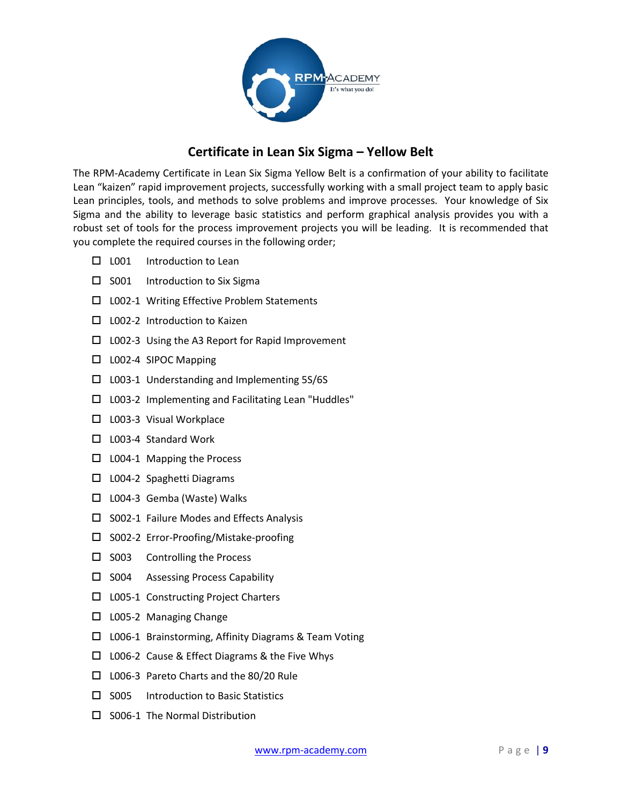

# **Certificate in Lean Six Sigma – Yellow Belt**

<span id="page-8-0"></span>The RPM-Academy Certificate in Lean Six Sigma Yellow Belt is a confirmation of your ability to facilitate Lean "kaizen" rapid improvement projects, successfully working with a small project team to apply basic Lean principles, tools, and methods to solve problems and improve processes. Your knowledge of Six Sigma and the ability to leverage basic statistics and perform graphical analysis provides you with a robust set of tools for the process improvement projects you will be leading. It is recommended that you complete the required courses in the following order;

- □ L001 Introduction to Lean
- $\square$  S001 Introduction to Six Sigma
- □ L002-1 Writing Effective Problem Statements
- $\Box$  L002-2 Introduction to Kaizen
- $\square$  L002-3 Using the A3 Report for Rapid Improvement
- $\Box$  L002-4 SIPOC Mapping
- L003-1 Understanding and Implementing 5S/6S
- □ L003-2 Implementing and Facilitating Lean "Huddles"
- □ L003-3 Visual Workplace
- □ L003-4 Standard Work
- $\Box$  L004-1 Mapping the Process
- □ L004-2 Spaghetti Diagrams
- □ L004-3 Gemba (Waste) Walks
- $\square$  S002-1 Failure Modes and Effects Analysis
- □ S002-2 Error-Proofing/Mistake-proofing
- $\square$  S003 Controlling the Process
- $\square$  S004 Assessing Process Capability
- □ L005-1 Constructing Project Charters
- □ L005-2 Managing Change
- □ L006-1 Brainstorming, Affinity Diagrams & Team Voting
- □ L006-2 Cause & Effect Diagrams & the Five Whys
- L006-3 Pareto Charts and the 80/20 Rule
- $\square$  S005 Introduction to Basic Statistics
- $\square$  S006-1 The Normal Distribution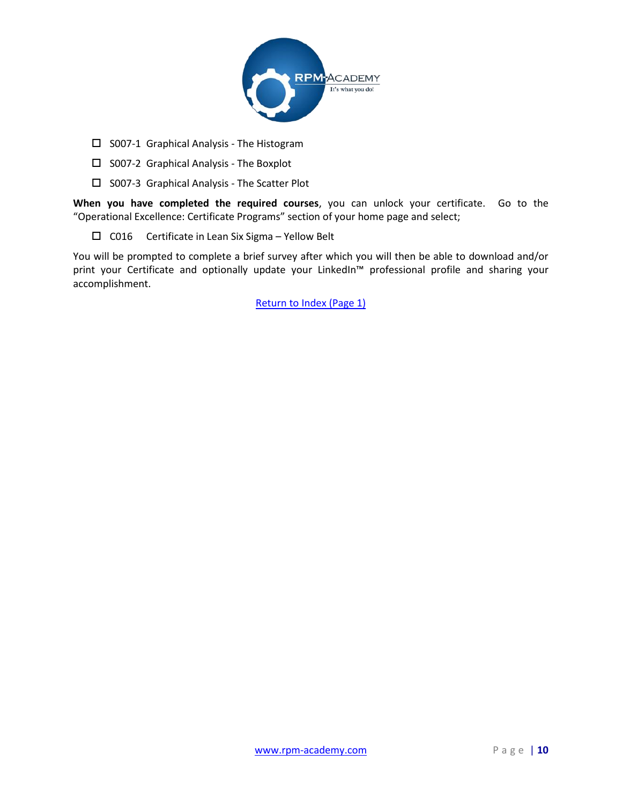

- $\square$  S007-1 Graphical Analysis The Histogram
- $\square$  S007-2 Graphical Analysis The Boxplot
- $\square$  S007-3 Graphical Analysis The Scatter Plot

 $\Box$  C016 Certificate in Lean Six Sigma – Yellow Belt

You will be prompted to complete a brief survey after which you will then be able to download and/or print your Certificate and optionally update your LinkedIn™ professional profile and sharing your accomplishment.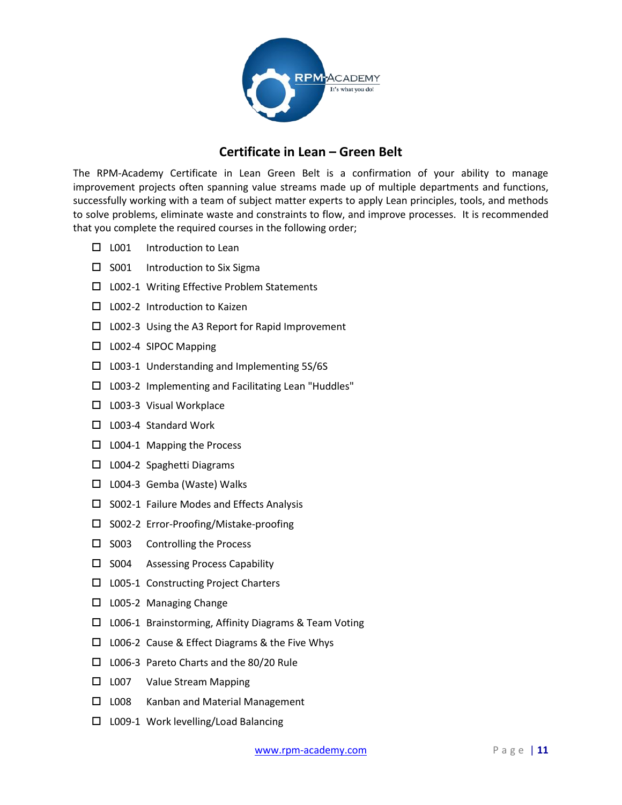

#### **Certificate in Lean – Green Belt**

<span id="page-10-0"></span>The RPM-Academy Certificate in Lean Green Belt is a confirmation of your ability to manage improvement projects often spanning value streams made up of multiple departments and functions, successfully working with a team of subject matter experts to apply Lean principles, tools, and methods to solve problems, eliminate waste and constraints to flow, and improve processes. It is recommended that you complete the required courses in the following order;

- $\Box$  L001 Introduction to Lean
- $\square$  S001 Introduction to Six Sigma
- □ L002-1 Writing Effective Problem Statements
- $\Box$  L002-2 Introduction to Kaizen
- $\Box$  L002-3 Using the A3 Report for Rapid Improvement
- □ L002-4 SIPOC Mapping
- $\square$  L003-1 Understanding and Implementing 5S/6S
- □ L003-2 Implementing and Facilitating Lean "Huddles"
- □ L003-3 Visual Workplace
- □ L003-4 Standard Work
- $\square$  L004-1 Mapping the Process
- □ L004-2 Spaghetti Diagrams
- □ L004-3 Gemba (Waste) Walks
- $\square$  S002-1 Failure Modes and Effects Analysis
- □ S002-2 Error-Proofing/Mistake-proofing
- $\square$  S003 Controlling the Process
- $\square$  S004 Assessing Process Capability
- □ L005-1 Constructing Project Charters
- $\square$  L005-2 Managing Change
- □ L006-1 Brainstorming, Affinity Diagrams & Team Voting
- $\Box$  L006-2 Cause & Effect Diagrams & the Five Whys
- L006-3 Pareto Charts and the 80/20 Rule
- □ L007 Value Stream Mapping
- □ L008 Kanban and Material Management
- □ L009-1 Work levelling/Load Balancing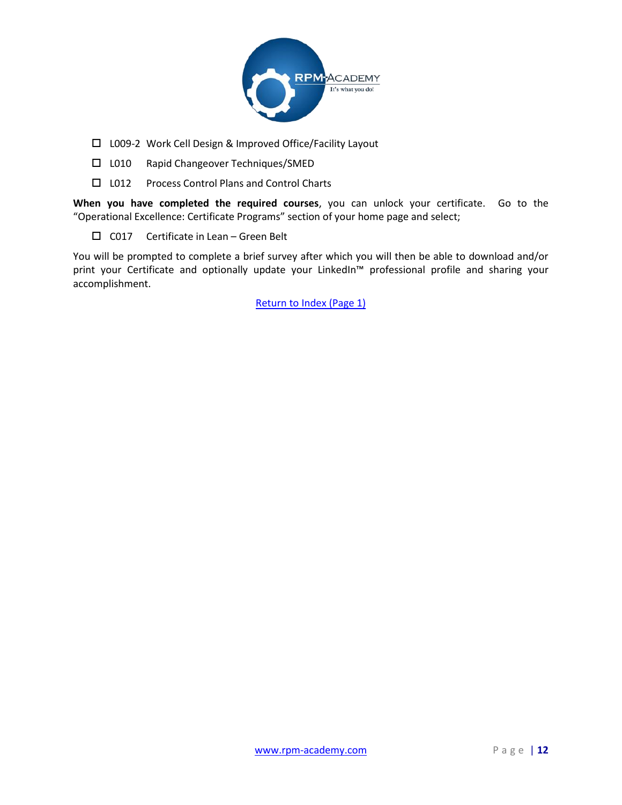

- L009-2 Work Cell Design & Improved Office/Facility Layout
- □ L010 Rapid Changeover Techniques/SMED
- □ L012 Process Control Plans and Control Charts

 $\Box$  C017 Certificate in Lean – Green Belt

You will be prompted to complete a brief survey after which you will then be able to download and/or print your Certificate and optionally update your LinkedIn™ professional profile and sharing your accomplishment.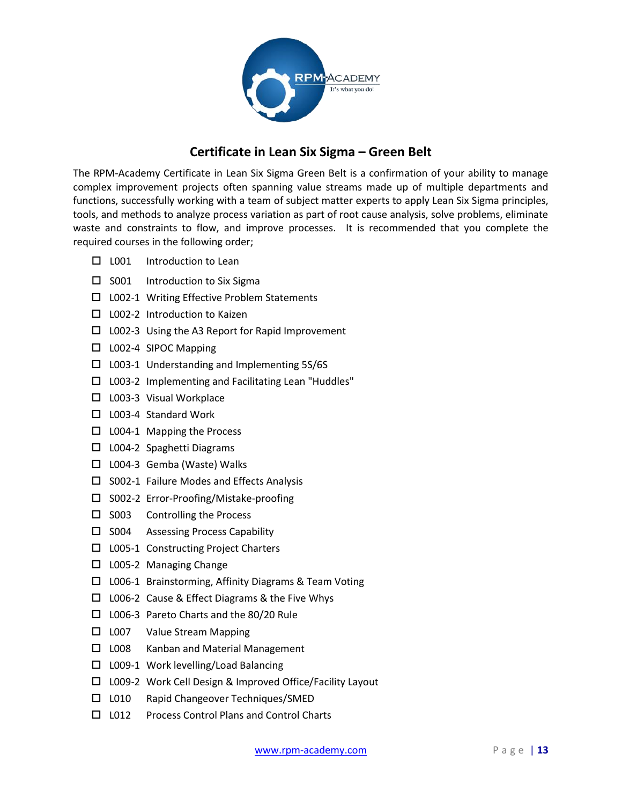

### **Certificate in Lean Six Sigma – Green Belt**

<span id="page-12-0"></span>The RPM-Academy Certificate in Lean Six Sigma Green Belt is a confirmation of your ability to manage complex improvement projects often spanning value streams made up of multiple departments and functions, successfully working with a team of subject matter experts to apply Lean Six Sigma principles, tools, and methods to analyze process variation as part of root cause analysis, solve problems, eliminate waste and constraints to flow, and improve processes. It is recommended that you complete the required courses in the following order;

- $\Box$  L001 Introduction to Lean
- $\square$  S001 Introduction to Six Sigma
- □ L002-1 Writing Effective Problem Statements
- □ L002-2 Introduction to Kaizen
- $\Box$  L002-3 Using the A3 Report for Rapid Improvement
- $\Box$  L002-4 SIPOC Mapping
- $\square$  L003-1 Understanding and Implementing 5S/6S
- $\square$  L003-2 Implementing and Facilitating Lean "Huddles"
- □ L003-3 Visual Workplace
- □ L003-4 Standard Work
- $\square$  L004-1 Mapping the Process
- $\Box$  L004-2 Spaghetti Diagrams
- □ L004-3 Gemba (Waste) Walks
- $\square$  S002-1 Failure Modes and Effects Analysis
- □ S002-2 Error-Proofing/Mistake-proofing
- $\square$  S003 Controlling the Process
- $\square$  S004 Assessing Process Capability
- □ L005-1 Constructing Project Charters
- $\square$  L005-2 Managing Change
- □ L006-1 Brainstorming, Affinity Diagrams & Team Voting
- □ L006-2 Cause & Effect Diagrams & the Five Whys
- L006-3 Pareto Charts and the 80/20 Rule
- □ L007 Value Stream Mapping
- □ L008 Kanban and Material Management
- □ L009-1 Work levelling/Load Balancing
- □ L009-2 Work Cell Design & Improved Office/Facility Layout
- □ L010 Rapid Changeover Techniques/SMED
- □ L012 Process Control Plans and Control Charts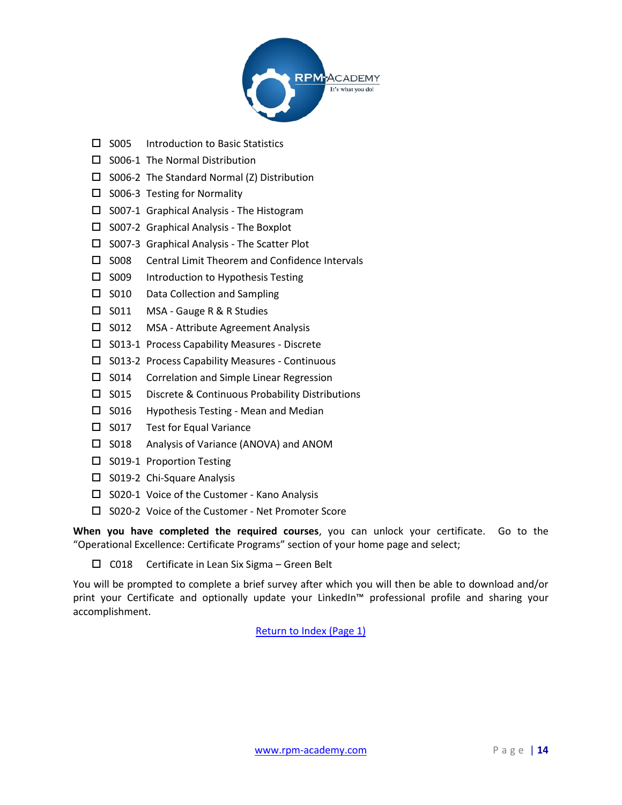

- $\square$  S005 Introduction to Basic Statistics
- $\square$  S006-1 The Normal Distribution
- $\square$  S006-2 The Standard Normal (Z) Distribution
- $\square$  S006-3 Testing for Normality
- $\square$  S007-1 Graphical Analysis The Histogram
- $\square$  S007-2 Graphical Analysis The Boxplot
- $\square$  S007-3 Graphical Analysis The Scatter Plot
- $\square$  S008 Central Limit Theorem and Confidence Intervals
- $\square$  S009 Introduction to Hypothesis Testing
- $\square$  S010 Data Collection and Sampling
- □ S011 MSA Gauge R & R Studies
- S012 MSA Attribute Agreement Analysis
- □ S013-1 Process Capability Measures Discrete
- $\square$  S013-2 Process Capability Measures Continuous
- $\square$  S014 Correlation and Simple Linear Regression
- $\square$  S015 Discrete & Continuous Probability Distributions
- □ S016 Hypothesis Testing Mean and Median
- $\square$  S017 Test for Equal Variance
- □ S018 Analysis of Variance (ANOVA) and ANOM
- $\square$  S019-1 Proportion Testing
- □ S019-2 Chi-Square Analysis
- $\square$  S020-1 Voice of the Customer Kano Analysis
- □ S020-2 Voice of the Customer Net Promoter Score

 $\square$  C018 Certificate in Lean Six Sigma - Green Belt

You will be prompted to complete a brief survey after which you will then be able to download and/or print your Certificate and optionally update your LinkedIn™ professional profile and sharing your accomplishment.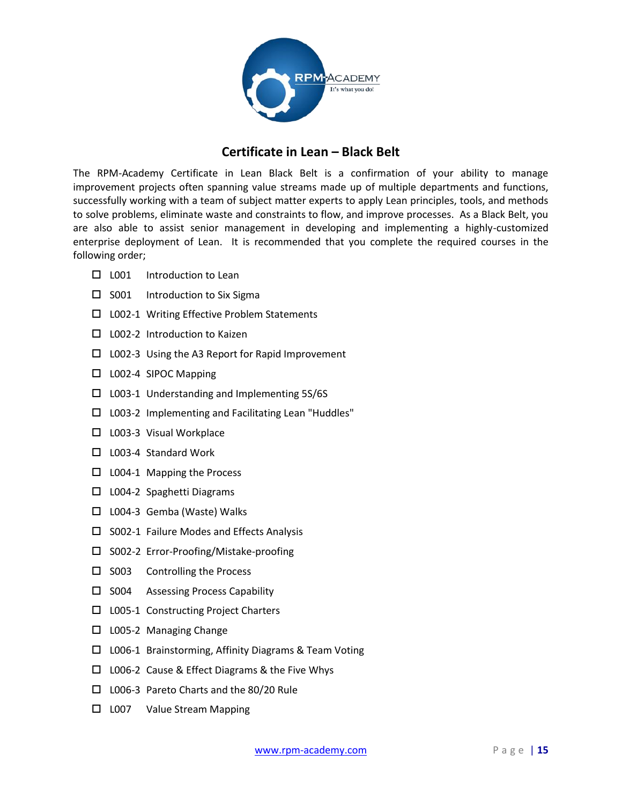

#### **Certificate in Lean – Black Belt**

<span id="page-14-0"></span>The RPM-Academy Certificate in Lean Black Belt is a confirmation of your ability to manage improvement projects often spanning value streams made up of multiple departments and functions, successfully working with a team of subject matter experts to apply Lean principles, tools, and methods to solve problems, eliminate waste and constraints to flow, and improve processes. As a Black Belt, you are also able to assist senior management in developing and implementing a highly-customized enterprise deployment of Lean. It is recommended that you complete the required courses in the following order;

- □ L001 Introduction to Lean
- $\square$  S001 Introduction to Six Sigma
- □ L002-1 Writing Effective Problem Statements
- □ L002-2 Introduction to Kaizen
- $\Box$  L002-3 Using the A3 Report for Rapid Improvement
- □ L002-4 SIPOC Mapping
- $\square$  L003-1 Understanding and Implementing 5S/6S
- □ L003-2 Implementing and Facilitating Lean "Huddles"
- □ L003-3 Visual Workplace
- □ L003-4 Standard Work
- □ L004-1 Mapping the Process
- □ L004-2 Spaghetti Diagrams
- $\Box$  L004-3 Gemba (Waste) Walks
- $\square$  S002-1 Failure Modes and Effects Analysis
- □ S002-2 Error-Proofing/Mistake-proofing
- $\square$  S003 Controlling the Process
- $\square$  S004 Assessing Process Capability
- $\Box$  L005-1 Constructing Project Charters
- □ L005-2 Managing Change
- □ L006-1 Brainstorming, Affinity Diagrams & Team Voting
- $\Box$  L006-2 Cause & Effect Diagrams & the Five Whys
- L006-3 Pareto Charts and the 80/20 Rule
- □ L007 Value Stream Mapping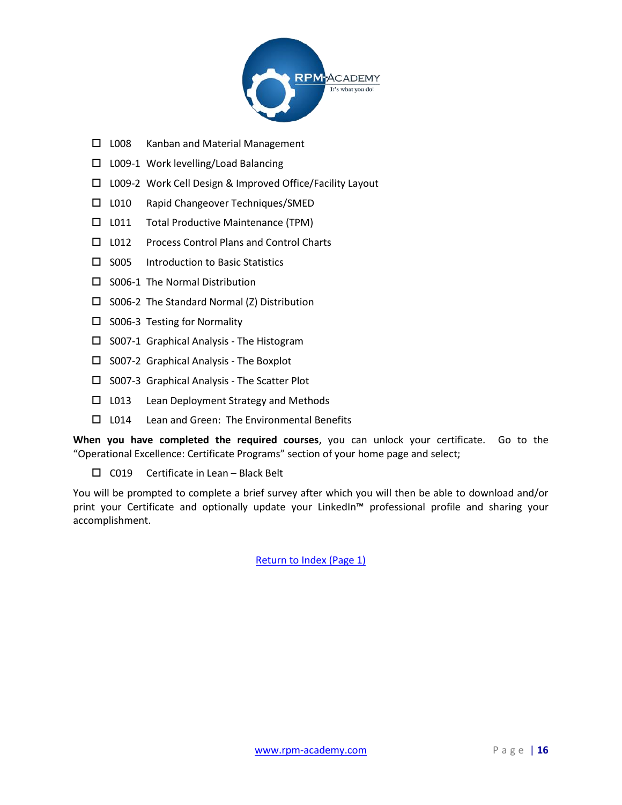

- $\square$  L008 Kanban and Material Management
- $\square$  L009-1 Work levelling/Load Balancing
- L009-2 Work Cell Design & Improved Office/Facility Layout
- □ L010 Rapid Changeover Techniques/SMED
- □ L011 Total Productive Maintenance (TPM)
- □ L012 Process Control Plans and Control Charts
- $\square$  S005 Introduction to Basic Statistics
- $\square$  S006-1 The Normal Distribution
- $\square$  S006-2 The Standard Normal (Z) Distribution
- $\square$  S006-3 Testing for Normality
- $\square$  S007-1 Graphical Analysis The Histogram
- $\square$  S007-2 Graphical Analysis The Boxplot
- $\square$  S007-3 Graphical Analysis The Scatter Plot
- $\Box$  L013 Lean Deployment Strategy and Methods
- □ L014 Lean and Green: The Environmental Benefits

 $\Box$  C019 Certificate in Lean – Black Belt

You will be prompted to complete a brief survey after which you will then be able to download and/or print your Certificate and optionally update your LinkedIn™ professional profile and sharing your accomplishment.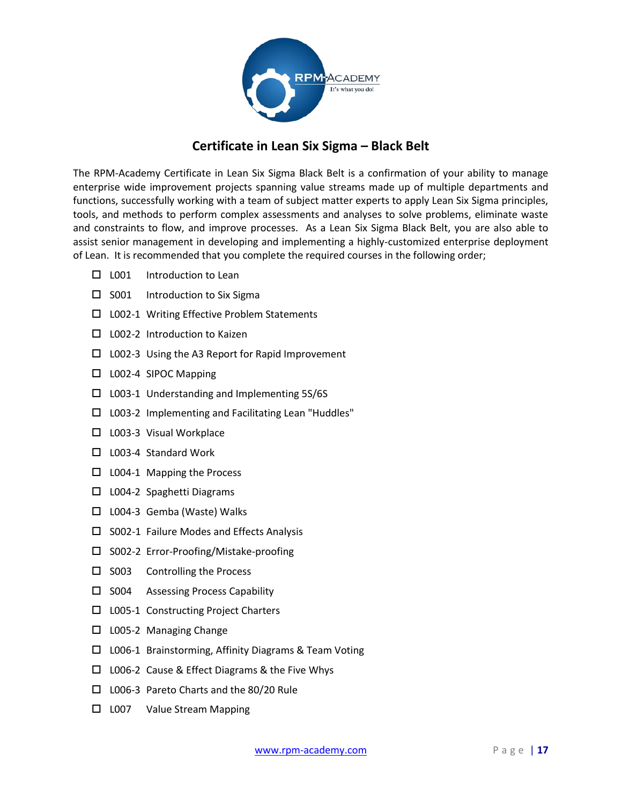

# **Certificate in Lean Six Sigma – Black Belt**

<span id="page-16-0"></span>The RPM-Academy Certificate in Lean Six Sigma Black Belt is a confirmation of your ability to manage enterprise wide improvement projects spanning value streams made up of multiple departments and functions, successfully working with a team of subject matter experts to apply Lean Six Sigma principles, tools, and methods to perform complex assessments and analyses to solve problems, eliminate waste and constraints to flow, and improve processes. As a Lean Six Sigma Black Belt, you are also able to assist senior management in developing and implementing a highly-customized enterprise deployment of Lean. It is recommended that you complete the required courses in the following order;

- $\square$  L001 Introduction to Lean
- $\square$  S001 Introduction to Six Sigma
- □ L002-1 Writing Effective Problem Statements
- □ L002-2 Introduction to Kaizen
- $\Box$  L002-3 Using the A3 Report for Rapid Improvement
- □ L002-4 SIPOC Mapping
- $\square$  L003-1 Understanding and Implementing 5S/6S
- □ L003-2 Implementing and Facilitating Lean "Huddles"
- □ L003-3 Visual Workplace
- □ L003-4 Standard Work
- □ L004-1 Mapping the Process
- □ L004-2 Spaghetti Diagrams
- □ L004-3 Gemba (Waste) Walks
- $\square$  S002-1 Failure Modes and Effects Analysis
- □ S002-2 Error-Proofing/Mistake-proofing
- $\square$  S003 Controlling the Process
- $\square$  S004 Assessing Process Capability
- $\Box$  L005-1 Constructing Project Charters
- $\square$  L005-2 Managing Change
- □ L006-1 Brainstorming, Affinity Diagrams & Team Voting
- □ L006-2 Cause & Effect Diagrams & the Five Whys
- L006-3 Pareto Charts and the 80/20 Rule
- □ L007 Value Stream Mapping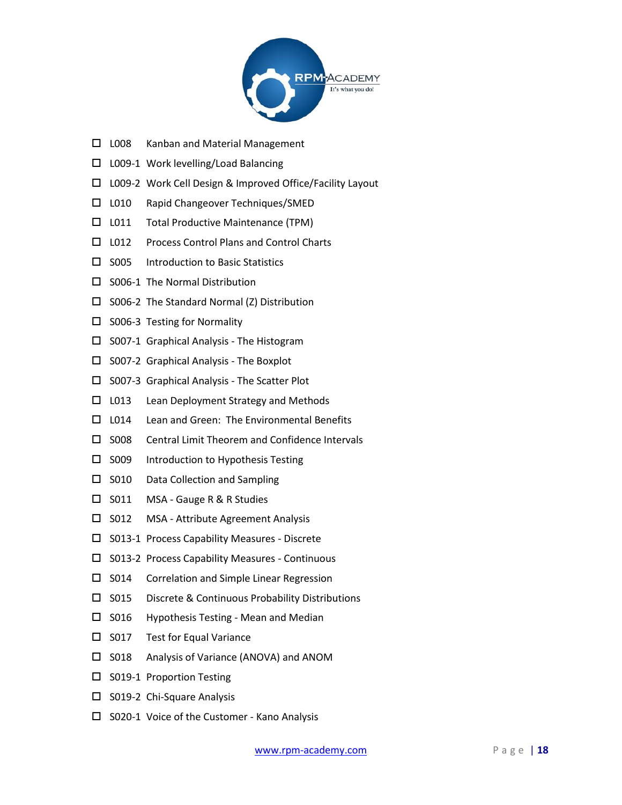

- $\Box$  L008 Kanban and Material Management
- $\square$  L009-1 Work levelling/Load Balancing
- L009-2 Work Cell Design & Improved Office/Facility Layout
- L010 Rapid Changeover Techniques/SMED
- □ L011 Total Productive Maintenance (TPM)
- □ L012 Process Control Plans and Control Charts
- $\square$  S005 Introduction to Basic Statistics
- $\square$  S006-1 The Normal Distribution
- $\square$  S006-2 The Standard Normal (Z) Distribution
- $\square$  S006-3 Testing for Normality
- $\square$  S007-1 Graphical Analysis The Histogram
- $\square$  S007-2 Graphical Analysis The Boxplot
- $\square$  S007-3 Graphical Analysis The Scatter Plot
- $\Box$  L013 Lean Deployment Strategy and Methods
- □ L014 Lean and Green: The Environmental Benefits
- $\square$  S008 Central Limit Theorem and Confidence Intervals
- $\square$  S009 Introduction to Hypothesis Testing
- $\square$  S010 Data Collection and Sampling
- □ S011 MSA Gauge R & R Studies
- S012 MSA Attribute Agreement Analysis
- $\square$  S013-1 Process Capability Measures Discrete
- □ S013-2 Process Capability Measures Continuous
- $\square$  S014 Correlation and Simple Linear Regression
- $\square$  S015 Discrete & Continuous Probability Distributions
- $\square$  S016 Hypothesis Testing Mean and Median
- $\square$  S017 Test for Equal Variance
- □ S018 Analysis of Variance (ANOVA) and ANOM
- □ S019-1 Proportion Testing
- □ S019-2 Chi-Square Analysis
- $\square$  S020-1 Voice of the Customer Kano Analysis